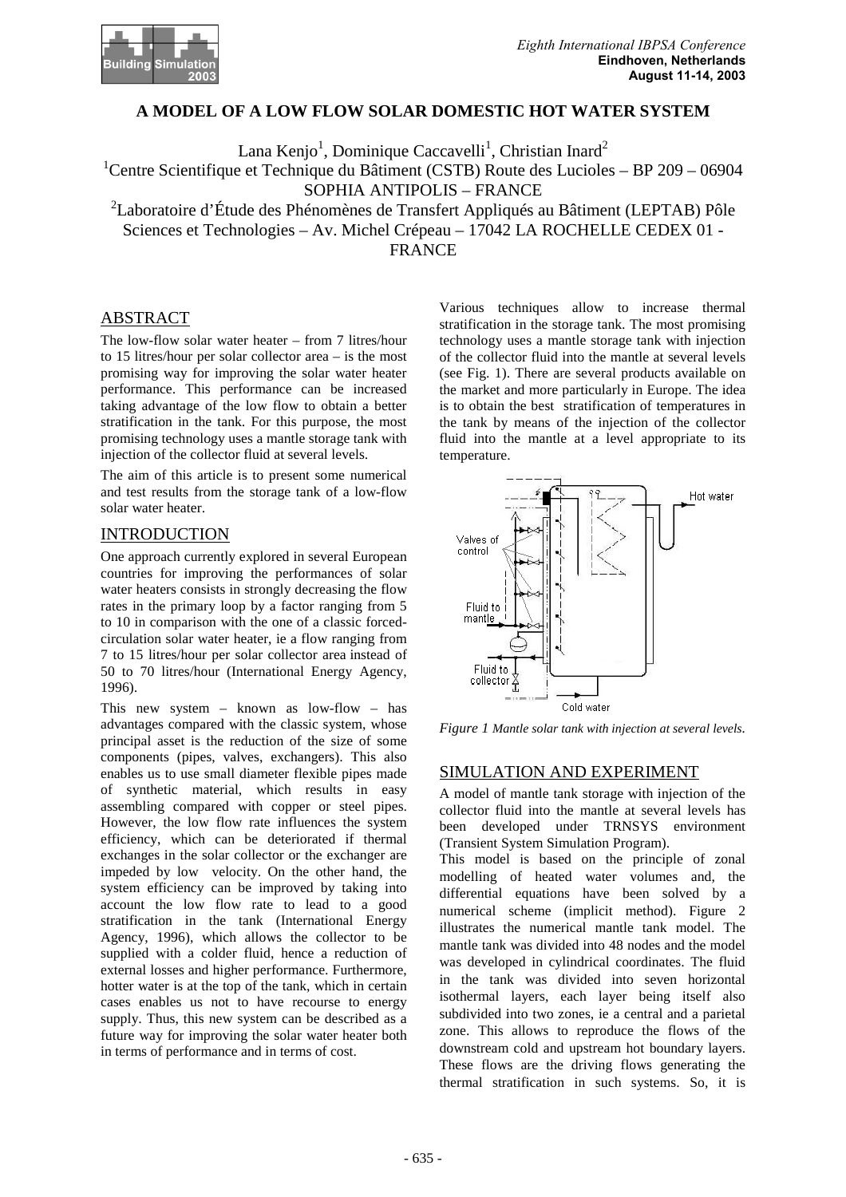

# **A MODEL OF A LOW FLOW SOLAR DOMESTIC HOT WATER SYSTEM**

Lana Kenjo<sup>1</sup>, Dominique Caccavelli<sup>1</sup>, Christian Inard<sup>2</sup> <sup>1</sup>Centre Scientifique et Technique du Bâtiment (CSTB) Route des Lucioles – BP 209 – 06904 SOPHIA ANTIPOLIS – FRANCE

<sup>2</sup>Laboratoire d'Étude des Phénomènes de Transfert Appliqués au Bâtiment (LEPTAB) Pôle Sciences et Technologies – Av. Michel Crépeau – 17042 LA ROCHELLE CEDEX 01 - FRANCE

## ABSTRACT

The low-flow solar water heater – from 7 litres/hour to 15 litres/hour per solar collector area – is the most promising way for improving the solar water heater performance. This performance can be increased taking advantage of the low flow to obtain a better stratification in the tank. For this purpose, the most promising technology uses a mantle storage tank with injection of the collector fluid at several levels.

The aim of this article is to present some numerical and test results from the storage tank of a low-flow solar water heater.

## INTRODUCTION

One approach currently explored in several European countries for improving the performances of solar water heaters consists in strongly decreasing the flow rates in the primary loop by a factor ranging from 5 to 10 in comparison with the one of a classic forcedcirculation solar water heater, ie a flow ranging from 7 to 15 litres/hour per solar collector area instead of 50 to 70 litres/hour (International Energy Agency, 1996).

This new system – known as low-flow – has advantages compared with the classic system, whose principal asset is the reduction of the size of some components (pipes, valves, exchangers). This also enables us to use small diameter flexible pipes made of synthetic material, which results in easy assembling compared with copper or steel pipes. However, the low flow rate influences the system efficiency, which can be deteriorated if thermal exchanges in the solar collector or the exchanger are impeded by low velocity. On the other hand, the system efficiency can be improved by taking into account the low flow rate to lead to a good stratification in the tank (International Energy Agency, 1996), which allows the collector to be supplied with a colder fluid, hence a reduction of external losses and higher performance. Furthermore, hotter water is at the top of the tank, which in certain cases enables us not to have recourse to energy supply. Thus, this new system can be described as a future way for improving the solar water heater both in terms of performance and in terms of cost.

Various techniques allow to increase thermal stratification in the storage tank. The most promising technology uses a mantle storage tank with injection of the collector fluid into the mantle at several levels (see Fig. 1). There are several products available on the market and more particularly in Europe. The idea is to obtain the best stratification of temperatures in the tank by means of the injection of the collector fluid into the mantle at a level appropriate to its temperature.



*Figure 1 Mantle solar tank with injection at several levels.*

## SIMULATION AND EXPERIMENT

A model of mantle tank storage with injection of the collector fluid into the mantle at several levels has been developed under TRNSYS environment (Transient System Simulation Program).

This model is based on the principle of zonal modelling of heated water volumes and, the differential equations have been solved by a numerical scheme (implicit method). Figure 2 illustrates the numerical mantle tank model. The mantle tank was divided into 48 nodes and the model was developed in cylindrical coordinates. The fluid in the tank was divided into seven horizontal isothermal layers, each layer being itself also subdivided into two zones, ie a central and a parietal zone. This allows to reproduce the flows of the downstream cold and upstream hot boundary layers. These flows are the driving flows generating the thermal stratification in such systems. So, it is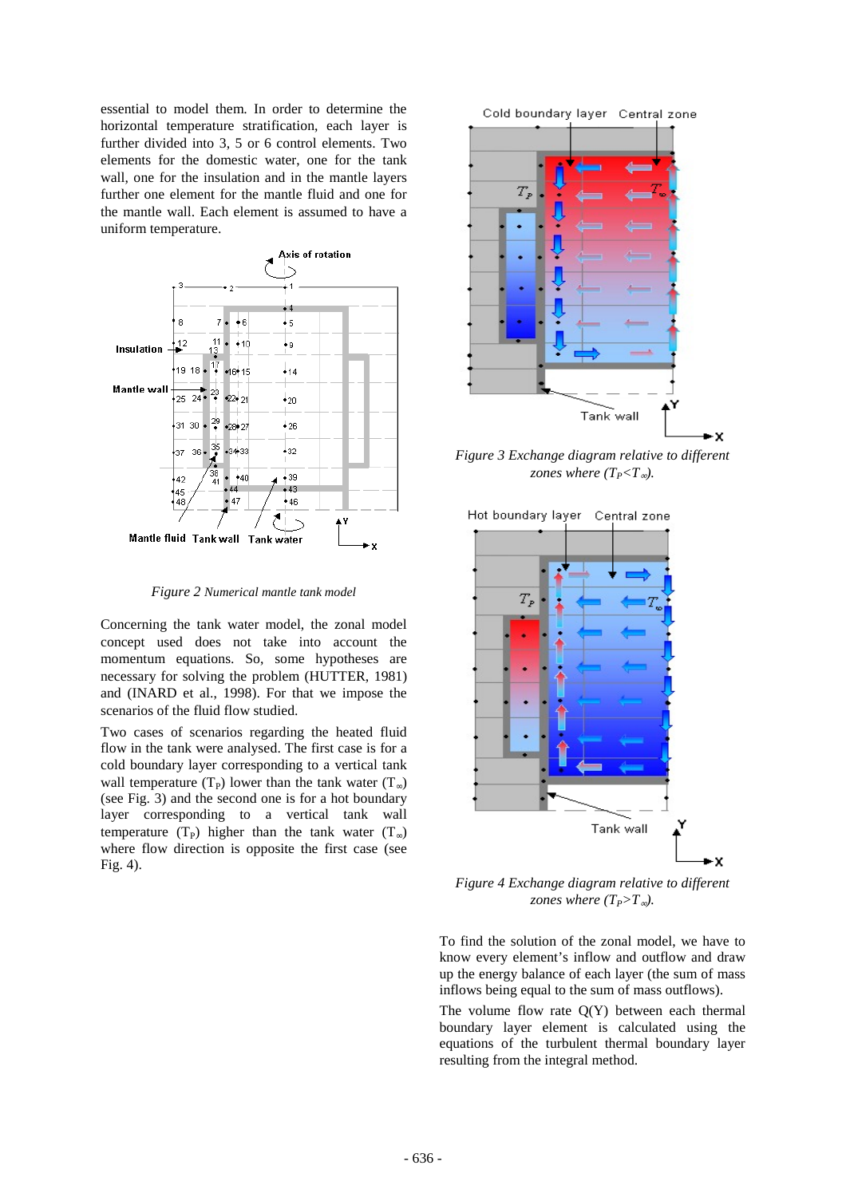essential to model them. In order to determine the horizontal temperature stratification, each layer is further divided into 3, 5 or 6 control elements. Two elements for the domestic water, one for the tank wall, one for the insulation and in the mantle layers further one element for the mantle fluid and one for the mantle wall. Each element is assumed to have a uniform temperature.



*Figure 2 Numerical mantle tank model*

Concerning the tank water model, the zonal model concept used does not take into account the momentum equations. So, some hypotheses are necessary for solving the problem (HUTTER, 1981) and (INARD et al., 1998). For that we impose the scenarios of the fluid flow studied.

Two cases of scenarios regarding the heated fluid flow in the tank were analysed. The first case is for a cold boundary layer corresponding to a vertical tank wall temperature (T<sub>P</sub>) lower than the tank water (T<sub>∞</sub>) (see Fig. 3) and the second one is for a hot boundary layer corresponding to a vertical tank wall temperature (T<sub>P</sub>) higher than the tank water (T<sub>∞</sub>) where flow direction is opposite the first case (see Fig. 4).

Cold boundary layer Central zone



*Figure 3 Exchange diagram relative to different zones where (T<sub>P</sub><T*<sub>∞</sub>).



*Figure 4 Exchange diagram relative to different zones where (T<sub>P</sub>>T*<sub>∞</sub>).

To find the solution of the zonal model, we have to know every element's inflow and outflow and draw up the energy balance of each layer (the sum of mass inflows being equal to the sum of mass outflows).

The volume flow rate  $Q(Y)$  between each thermal boundary layer element is calculated using the equations of the turbulent thermal boundary layer resulting from the integral method.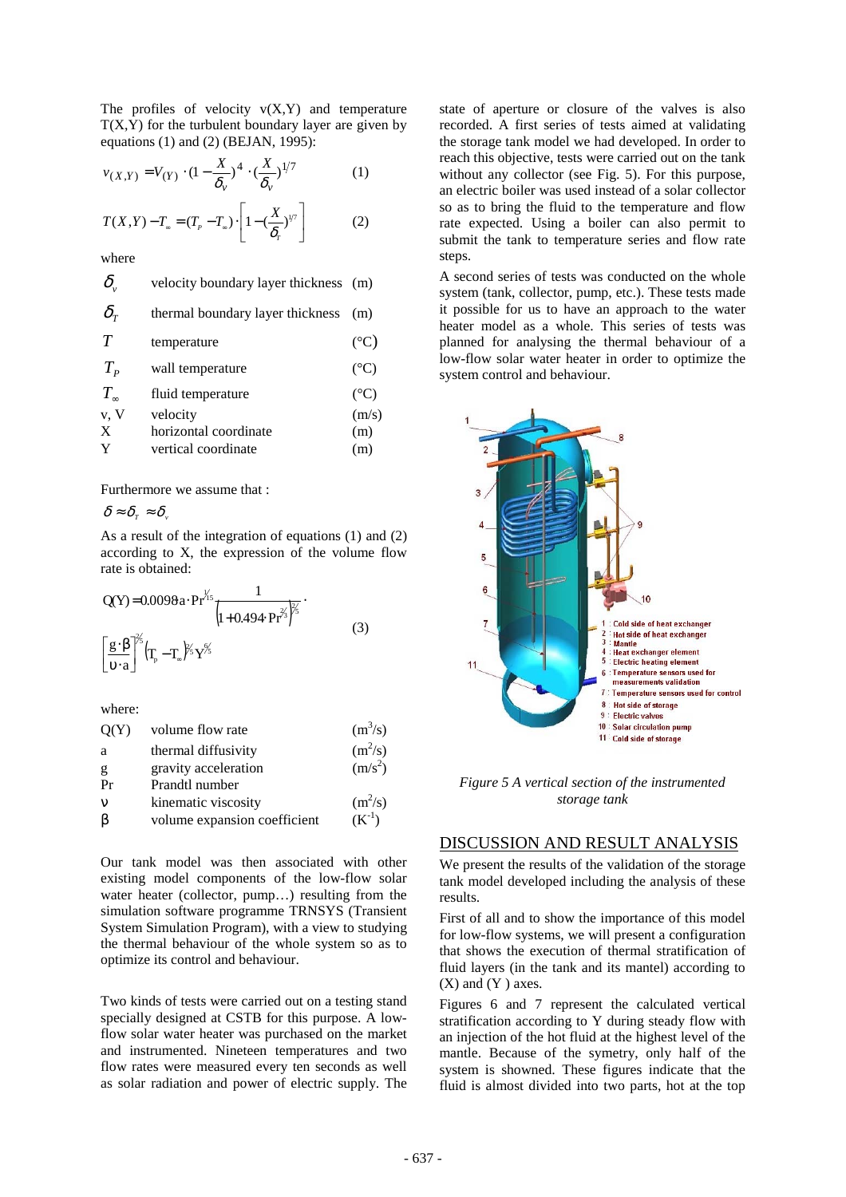The profiles of velocity  $v(X, Y)$  and temperature  $T(X, Y)$  for the turbulent boundary layer are given by equations (1) and (2) (BEJAN, 1995):

$$
v_{(X,Y)} = V_{(Y)} \cdot (1 - \frac{X}{\delta_v})^4 \cdot (\frac{X}{\delta_v})^{1/7}
$$
 (1)

$$
T(X,Y) - T_{\infty} = (T_p - T_{\infty}) \cdot \left[1 - \left(\frac{X}{\delta_r}\right)^{1/7}\right]
$$
 (2)

where

| $\delta_{\cdot}$                 | velocity boundary layer thickness (m) |                 |
|----------------------------------|---------------------------------------|-----------------|
| $\delta_{\tau}$                  | thermal boundary layer thickness      | (m)             |
| T                                | temperature                           | $({}^{\circ}C)$ |
| $T_{\scriptscriptstyle P}$       | wall temperature                      | $({}^{\circ}C)$ |
| $T_{\scriptscriptstyle{\infty}}$ | fluid temperature                     | $({}^{\circ}C)$ |
| v, V                             | velocity                              | (m/s)           |
| X                                | horizontal coordinate                 | (m)             |
| Y                                | vertical coordinate                   | (m)             |
|                                  |                                       |                 |

Furthermore we assume that :

$$
\delta \approx \delta_{\scriptscriptstyle T} \approx \delta_{\scriptscriptstyle V}
$$

As a result of the integration of equations (1) and (2) according to X, the expression of the volume flow rate is obtained:

$$
Q(Y) = 0.0098a \cdot Pr^{\frac{1}{75}} \frac{1}{\left(1 + 0.494 \cdot Pr^{2/3}\right)^{\frac{2}{5}}}.
$$
\n
$$
\left[\frac{g \cdot \beta}{v \cdot a}\right]^{2/5} \left(T_p - T_a\right)^{\frac{2}{75}} Y^{\frac{6}{75}}.
$$
\n(3)

where:

| Q(Y)        | volume flow rate             | $(m^3/s)$           |
|-------------|------------------------------|---------------------|
| a           | thermal diffusivity          | $(m^2/s)$           |
| g           | gravity acceleration         | (m/s <sup>2</sup> ) |
| Pr          | Prandtl number               |                     |
| $\mathbf v$ | kinematic viscosity          | $(m^2/s)$           |
| B           | volume expansion coefficient | $(K^{-1})$          |
|             |                              |                     |

Our tank model was then associated with other existing model components of the low-flow solar water heater (collector, pump...) resulting from the simulation software programme TRNSYS (Transient System Simulation Program), with a view to studying the thermal behaviour of the whole system so as to optimize its control and behaviour.

Two kinds of tests were carried out on a testing stand specially designed at CSTB for this purpose. A lowflow solar water heater was purchased on the market and instrumented. Nineteen temperatures and two flow rates were measured every ten seconds as well as solar radiation and power of electric supply. The

state of aperture or closure of the valves is also recorded. A first series of tests aimed at validating the storage tank model we had developed. In order to reach this objective, tests were carried out on the tank without any collector (see Fig. 5). For this purpose, an electric boiler was used instead of a solar collector so as to bring the fluid to the temperature and flow rate expected. Using a boiler can also permit to submit the tank to temperature series and flow rate steps.

A second series of tests was conducted on the whole system (tank, collector, pump, etc.). These tests made it possible for us to have an approach to the water heater model as a whole. This series of tests was planned for analysing the thermal behaviour of a low-flow solar water heater in order to optimize the system control and behaviour.



*Figure 5 A vertical section of the instrumented storage tank*

#### DISCUSSION AND RESULT ANALYSIS

We present the results of the validation of the storage tank model developed including the analysis of these results.

First of all and to show the importance of this model for low-flow systems, we will present a configuration that shows the execution of thermal stratification of fluid layers (in the tank and its mantel) according to  $(X)$  and  $(Y)$  axes.

Figures 6 and 7 represent the calculated vertical stratification according to Y during steady flow with an injection of the hot fluid at the highest level of the mantle. Because of the symetry, only half of the system is showned. These figures indicate that the fluid is almost divided into two parts, hot at the top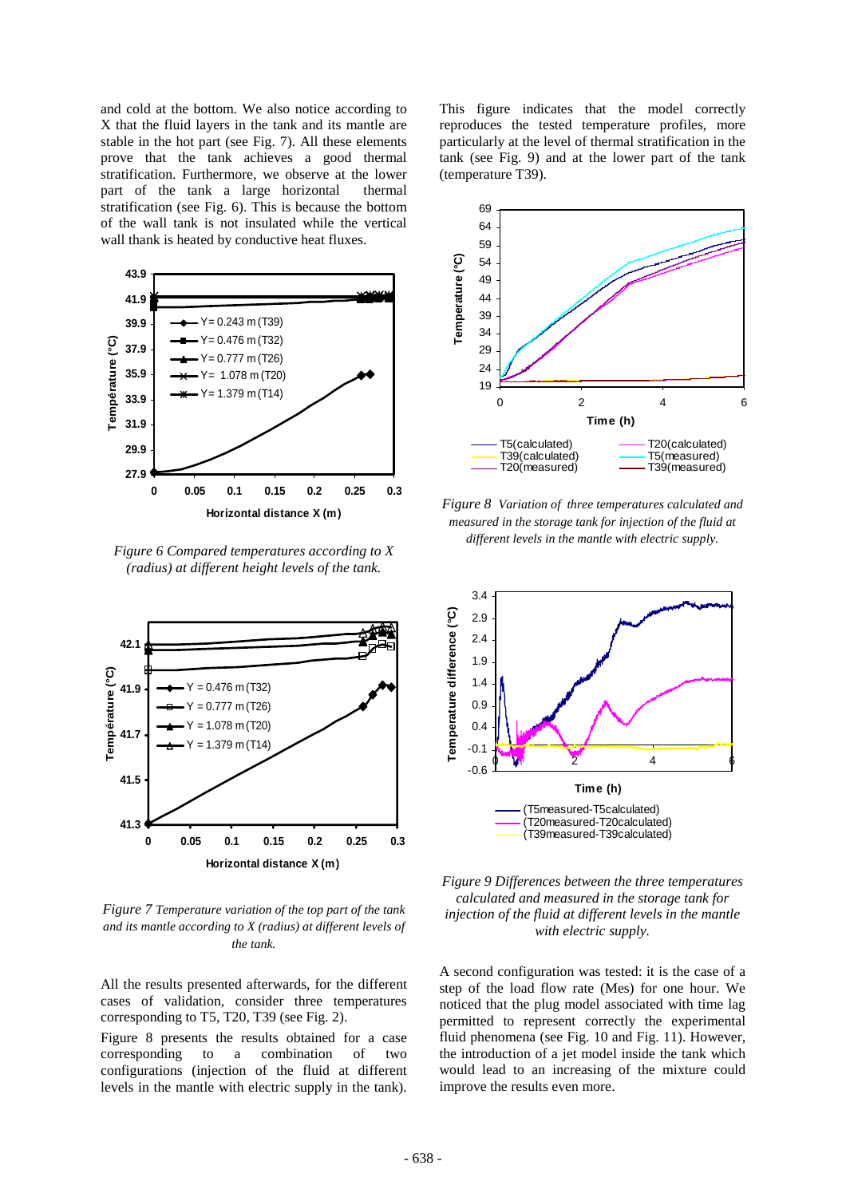and cold at the bottom. We also notice according to X that the fluid layers in the tank and its mantle are stable in the hot part (see Fig. 7). All these elements prove that the tank achieves a good thermal stratification. Furthermore, we observe at the lower part of the tank a large horizontal thermal stratification (see Fig. 6). This is because the bottom of the wall tank is not insulated while the vertical wall thank is heated by conductive heat fluxes.



*Figure 6 Compared temperatures according to X (radius) at different height levels of the tank.*



*Figure 7 Temperature variation of the top part of the tank and its mantle according to X (radius) at different levels of the tank.*

All the results presented afterwards, for the different cases of validation, consider three temperatures corresponding to T5, T20, T39 (see Fig. 2).

Figure 8 presents the results obtained for a case corresponding to a combination of two configurations (injection of the fluid at different levels in the mantle with electric supply in the tank). This figure indicates that the model correctly reproduces the tested temperature profiles, more particularly at the level of thermal stratification in the tank (see Fig. 9) and at the lower part of the tank (temperature T39).



*Figure 8 Variation of three temperatures calculated and measured in the storage tank for injection of the fluid at different levels in the mantle with electric supply.*





A second configuration was tested: it is the case of a step of the load flow rate (Mes) for one hour. We noticed that the plug model associated with time lag permitted to represent correctly the experimental fluid phenomena (see Fig. 10 and Fig. 11). However, the introduction of a jet model inside the tank which would lead to an increasing of the mixture could improve the results even more.